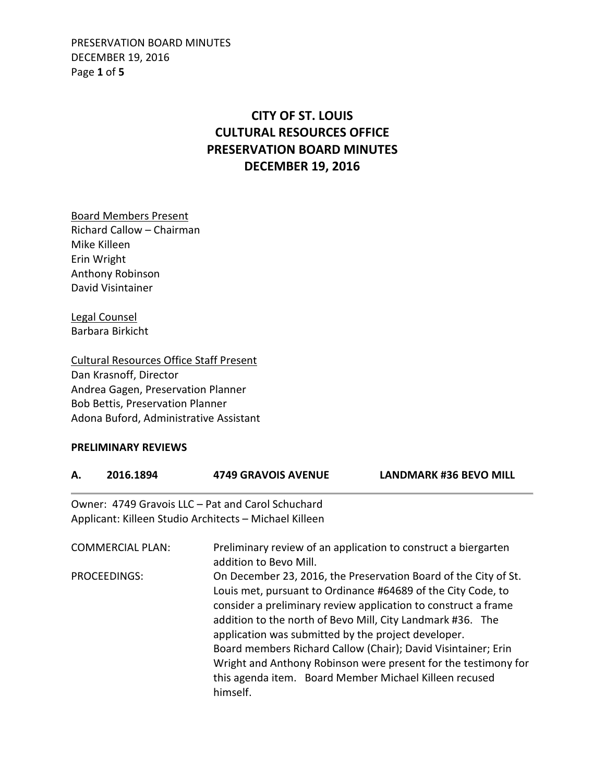PRESERVATION BOARD MINUTES DECEMBER 19, 2016 Page **1** of **5**

## **CITY OF ST. LOUIS CULTURAL RESOURCES OFFICE PRESERVATION BOARD MINUTES DECEMBER 19, 2016**

Board Members Present Richard Callow – Chairman Mike Killeen Erin Wright Anthony Robinson David Visintainer

Legal Counsel Barbara Birkicht

Cultural Resources Office Staff Present Dan Krasnoff, Director Andrea Gagen, Preservation Planner Bob Bettis, Preservation Planner Adona Buford, Administrative Assistant

## **PRELIMINARY REVIEWS**

| А.                      | 2016.1894 | <b>4749 GRAVOIS AVENUE</b>                                                                                                                                                                                                                                                                                                                                                                                                                                                                                                      | <b>LANDMARK #36 BEVO MILL</b> |  |
|-------------------------|-----------|---------------------------------------------------------------------------------------------------------------------------------------------------------------------------------------------------------------------------------------------------------------------------------------------------------------------------------------------------------------------------------------------------------------------------------------------------------------------------------------------------------------------------------|-------------------------------|--|
|                         |           | Owner: 4749 Gravois LLC – Pat and Carol Schuchard                                                                                                                                                                                                                                                                                                                                                                                                                                                                               |                               |  |
|                         |           | Applicant: Killeen Studio Architects - Michael Killeen                                                                                                                                                                                                                                                                                                                                                                                                                                                                          |                               |  |
| <b>COMMERCIAL PLAN:</b> |           | Preliminary review of an application to construct a biergarten<br>addition to Bevo Mill.                                                                                                                                                                                                                                                                                                                                                                                                                                        |                               |  |
| <b>PROCEEDINGS:</b>     |           | On December 23, 2016, the Preservation Board of the City of St.<br>Louis met, pursuant to Ordinance #64689 of the City Code, to<br>consider a preliminary review application to construct a frame<br>addition to the north of Bevo Mill, City Landmark #36. The<br>application was submitted by the project developer.<br>Board members Richard Callow (Chair); David Visintainer; Erin<br>Wright and Anthony Robinson were present for the testimony for<br>this agenda item. Board Member Michael Killeen recused<br>himself. |                               |  |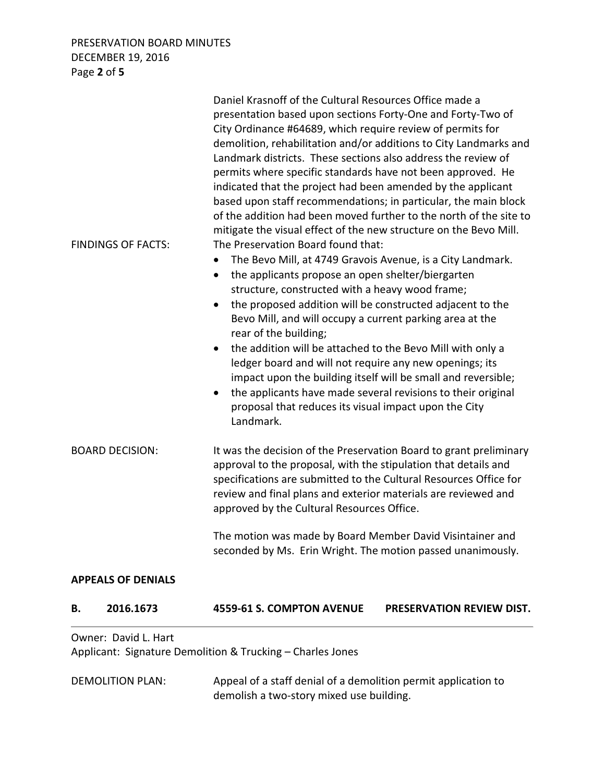PRESERVATION BOARD MINUTES DECEMBER 19, 2016 Page **2** of **5**

|                         |                           | Daniel Krasnoff of the Cultural Resources Office made a                                                                                                                                                                                                                                                                                                                                                                                                                                                                                                                                                                                                                                                                                                                                                                                                                                                                                                                                                                                                                                                                                                                                                                                                                                                    |                                  |  |
|-------------------------|---------------------------|------------------------------------------------------------------------------------------------------------------------------------------------------------------------------------------------------------------------------------------------------------------------------------------------------------------------------------------------------------------------------------------------------------------------------------------------------------------------------------------------------------------------------------------------------------------------------------------------------------------------------------------------------------------------------------------------------------------------------------------------------------------------------------------------------------------------------------------------------------------------------------------------------------------------------------------------------------------------------------------------------------------------------------------------------------------------------------------------------------------------------------------------------------------------------------------------------------------------------------------------------------------------------------------------------------|----------------------------------|--|
|                         | <b>FINDINGS OF FACTS:</b> | presentation based upon sections Forty-One and Forty-Two of<br>City Ordinance #64689, which require review of permits for<br>demolition, rehabilitation and/or additions to City Landmarks and<br>Landmark districts. These sections also address the review of<br>permits where specific standards have not been approved. He<br>indicated that the project had been amended by the applicant<br>based upon staff recommendations; in particular, the main block<br>of the addition had been moved further to the north of the site to<br>mitigate the visual effect of the new structure on the Bevo Mill.<br>The Preservation Board found that:<br>The Bevo Mill, at 4749 Gravois Avenue, is a City Landmark.<br>the applicants propose an open shelter/biergarten<br>structure, constructed with a heavy wood frame;<br>the proposed addition will be constructed adjacent to the<br>Bevo Mill, and will occupy a current parking area at the<br>rear of the building;<br>the addition will be attached to the Bevo Mill with only a<br>ledger board and will not require any new openings; its<br>impact upon the building itself will be small and reversible;<br>the applicants have made several revisions to their original<br>$\bullet$<br>proposal that reduces its visual impact upon the City |                                  |  |
|                         |                           | Landmark.                                                                                                                                                                                                                                                                                                                                                                                                                                                                                                                                                                                                                                                                                                                                                                                                                                                                                                                                                                                                                                                                                                                                                                                                                                                                                                  |                                  |  |
| <b>BOARD DECISION:</b>  |                           | It was the decision of the Preservation Board to grant preliminary<br>approval to the proposal, with the stipulation that details and<br>specifications are submitted to the Cultural Resources Office for<br>review and final plans and exterior materials are reviewed and<br>approved by the Cultural Resources Office.                                                                                                                                                                                                                                                                                                                                                                                                                                                                                                                                                                                                                                                                                                                                                                                                                                                                                                                                                                                 |                                  |  |
|                         |                           | The motion was made by Board Member David Visintainer and<br>seconded by Ms. Erin Wright. The motion passed unanimously.                                                                                                                                                                                                                                                                                                                                                                                                                                                                                                                                                                                                                                                                                                                                                                                                                                                                                                                                                                                                                                                                                                                                                                                   |                                  |  |
|                         | <b>APPEALS OF DENIALS</b> |                                                                                                                                                                                                                                                                                                                                                                                                                                                                                                                                                                                                                                                                                                                                                                                                                                                                                                                                                                                                                                                                                                                                                                                                                                                                                                            |                                  |  |
| В.                      | 2016.1673                 | 4559-61 S. COMPTON AVENUE                                                                                                                                                                                                                                                                                                                                                                                                                                                                                                                                                                                                                                                                                                                                                                                                                                                                                                                                                                                                                                                                                                                                                                                                                                                                                  | <b>PRESERVATION REVIEW DIST.</b> |  |
|                         | Owner: David L. Hart      |                                                                                                                                                                                                                                                                                                                                                                                                                                                                                                                                                                                                                                                                                                                                                                                                                                                                                                                                                                                                                                                                                                                                                                                                                                                                                                            |                                  |  |
|                         |                           | Applicant: Signature Demolition & Trucking - Charles Jones                                                                                                                                                                                                                                                                                                                                                                                                                                                                                                                                                                                                                                                                                                                                                                                                                                                                                                                                                                                                                                                                                                                                                                                                                                                 |                                  |  |
| <b>DEMOLITION PLAN:</b> |                           | Appeal of a staff denial of a demolition permit application to                                                                                                                                                                                                                                                                                                                                                                                                                                                                                                                                                                                                                                                                                                                                                                                                                                                                                                                                                                                                                                                                                                                                                                                                                                             |                                  |  |

demolish a two-story mixed use building.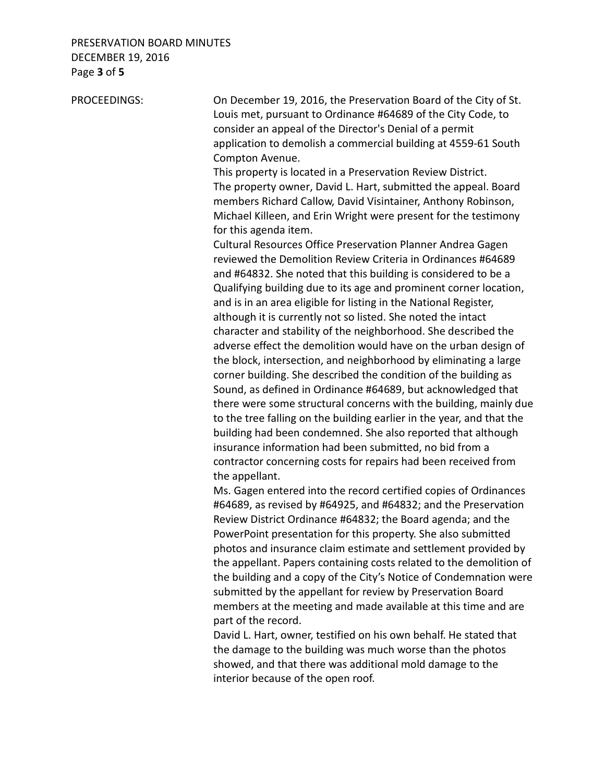## PRESERVATION BOARD MINUTES DECEMBER 19, 2016 Page **3** of **5**

PROCEEDINGS: On December 19, 2016, the Preservation Board of the City of St. Louis met, pursuant to Ordinance #64689 of the City Code, to consider an appeal of the Director's Denial of a permit application to demolish a commercial building at 4559-61 South Compton Avenue. This property is located in a Preservation Review District. The property owner, David L. Hart, submitted the appeal. Board members Richard Callow, David Visintainer, Anthony Robinson, Michael Killeen, and Erin Wright were present for the testimony for this agenda item. Cultural Resources Office Preservation Planner Andrea Gagen reviewed the Demolition Review Criteria in Ordinances #64689 and #64832. She noted that this building is considered to be a Qualifying building due to its age and prominent corner location, and is in an area eligible for listing in the National Register, although it is currently not so listed. She noted the intact character and stability of the neighborhood. She described the adverse effect the demolition would have on the urban design of the block, intersection, and neighborhood by eliminating a large corner building. She described the condition of the building as Sound, as defined in Ordinance #64689, but acknowledged that there were some structural concerns with the building, mainly due to the tree falling on the building earlier in the year, and that the building had been condemned. She also reported that although insurance information had been submitted, no bid from a contractor concerning costs for repairs had been received from the appellant. Ms. Gagen entered into the record certified copies of Ordinances #64689, as revised by #64925, and #64832; and the Preservation Review District Ordinance #64832; the Board agenda; and the PowerPoint presentation for this property. She also submitted photos and insurance claim estimate and settlement provided by the appellant. Papers containing costs related to the demolition of the building and a copy of the City's Notice of Condemnation were

 submitted by the appellant for review by Preservation Board members at the meeting and made available at this time and are part of the record.

 David L. Hart, owner, testified on his own behalf. He stated that the damage to the building was much worse than the photos showed, and that there was additional mold damage to the interior because of the open roof.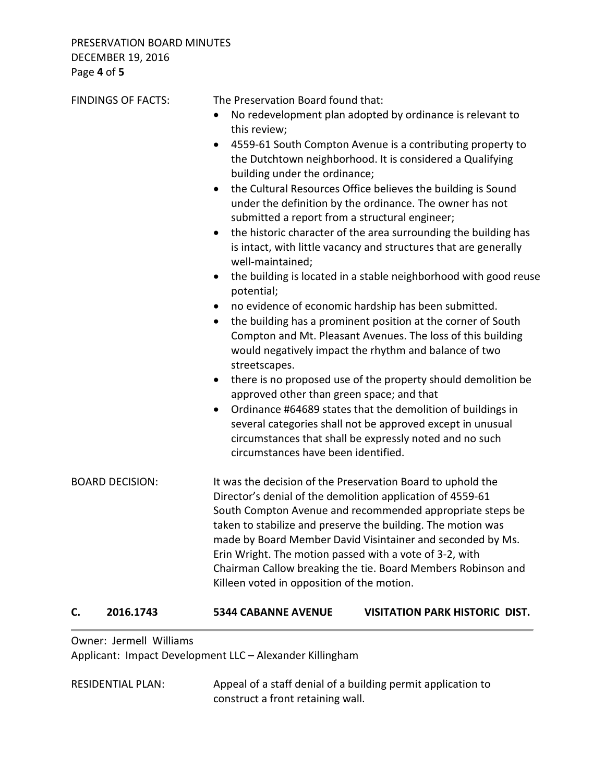|                        | <b>FINDINGS OF FACTS:</b> | The Preservation Board found that:                                                                                                                                                                                                                                                                                                                                                                                                                                                            |                                                                                                                                                                                      |  |
|------------------------|---------------------------|-----------------------------------------------------------------------------------------------------------------------------------------------------------------------------------------------------------------------------------------------------------------------------------------------------------------------------------------------------------------------------------------------------------------------------------------------------------------------------------------------|--------------------------------------------------------------------------------------------------------------------------------------------------------------------------------------|--|
|                        |                           | this review;                                                                                                                                                                                                                                                                                                                                                                                                                                                                                  | No redevelopment plan adopted by ordinance is relevant to                                                                                                                            |  |
|                        |                           | building under the ordinance;                                                                                                                                                                                                                                                                                                                                                                                                                                                                 | 4559-61 South Compton Avenue is a contributing property to<br>the Dutchtown neighborhood. It is considered a Qualifying                                                              |  |
|                        |                           | the Cultural Resources Office believes the building is Sound<br>$\bullet$<br>under the definition by the ordinance. The owner has not<br>submitted a report from a structural engineer;                                                                                                                                                                                                                                                                                                       |                                                                                                                                                                                      |  |
|                        |                           | well-maintained;                                                                                                                                                                                                                                                                                                                                                                                                                                                                              | the historic character of the area surrounding the building has<br>is intact, with little vacancy and structures that are generally                                                  |  |
|                        |                           | $\bullet$<br>potential;                                                                                                                                                                                                                                                                                                                                                                                                                                                                       | the building is located in a stable neighborhood with good reuse                                                                                                                     |  |
|                        |                           | $\bullet$                                                                                                                                                                                                                                                                                                                                                                                                                                                                                     | no evidence of economic hardship has been submitted.                                                                                                                                 |  |
|                        |                           | streetscapes.                                                                                                                                                                                                                                                                                                                                                                                                                                                                                 | the building has a prominent position at the corner of South<br>Compton and Mt. Pleasant Avenues. The loss of this building<br>would negatively impact the rhythm and balance of two |  |
|                        |                           | $\bullet$<br>approved other than green space; and that                                                                                                                                                                                                                                                                                                                                                                                                                                        | there is no proposed use of the property should demolition be                                                                                                                        |  |
|                        |                           | circumstances have been identified.                                                                                                                                                                                                                                                                                                                                                                                                                                                           | Ordinance #64689 states that the demolition of buildings in<br>several categories shall not be approved except in unusual<br>circumstances that shall be expressly noted and no such |  |
| <b>BOARD DECISION:</b> |                           | It was the decision of the Preservation Board to uphold the<br>Director's denial of the demolition application of 4559-61<br>South Compton Avenue and recommended appropriate steps be<br>taken to stabilize and preserve the building. The motion was<br>made by Board Member David Visintainer and seconded by Ms.<br>Erin Wright. The motion passed with a vote of 3-2, with<br>Chairman Callow breaking the tie. Board Members Robinson and<br>Killeen voted in opposition of the motion. |                                                                                                                                                                                      |  |
| C.                     | 2016.1743                 | <b>5344 CABANNE AVENUE</b>                                                                                                                                                                                                                                                                                                                                                                                                                                                                    | <b>VISITATION PARK HISTORIC DIST.</b>                                                                                                                                                |  |

Owner: Jermell Williams

Applicant: Impact Development LLC – Alexander Killingham

RESIDENTIAL PLAN: Appeal of a staff denial of a building permit application to construct a front retaining wall.